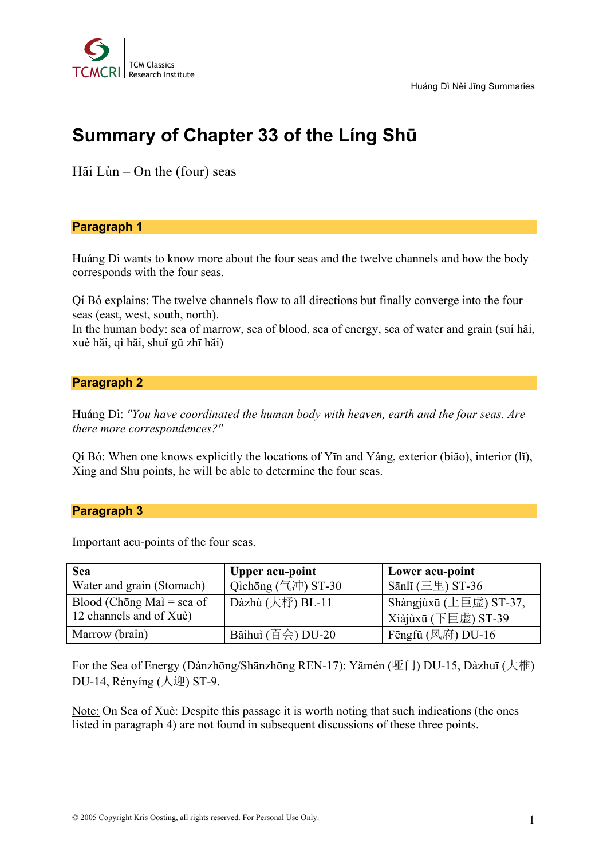

# **Summary of Chapter 33 of the Líng Shū**

Hăi Lùn – On the (four) seas

## **Paragraph 1**

Huáng Dì wants to know more about the four seas and the twelve channels and how the body corresponds with the four seas.

Qí Bó explains: The twelve channels flow to all directions but finally converge into the four seas (east, west, south, north).

In the human body: sea of marrow, sea of blood, sea of energy, sea of water and grain (suí hăi, xuè hăi, qì hăi, shuĭ gŭ zhī hăi)

#### **Paragraph 2**

Huáng Dì: *"You have coordinated the human body with heaven, earth and the four seas. Are there more correspondences?"*

Qí Bó: When one knows explicitly the locations of Yīn and Yáng, exterior (biăo), interior (lĭ), Xing and Shu points, he will be able to determine the four seas.

#### **Paragraph 3**

Important acu-points of the four seas.

| <b>Sea</b>                | <b>Upper acu-point</b>          | Lower acu-point                        |
|---------------------------|---------------------------------|----------------------------------------|
| Water and grain (Stomach) | Qichōng (气冲) ST-30              | Sānlĭ $(\equiv \boxplus)$ ST-36        |
| Blood (Chōng Mai = sea of | Dàzhù $($ 大杼 $)$ BL-11          | ' Shàngjùxū (上巨虚) ST-37,               |
| 12 channels and of Xuè)   |                                 | Xiàjùxū (下巨虚) ST-39                    |
| Marrow (brain)            | Bǎihuì $(\overline{H}$ 会) DU-20 | Fēngfǔ $(\mathbb{R} \mathbb{H})$ DU-16 |

For the Sea of Energy (Dànzhōng/Shānzhōng REN-17): Yămén (哑门) DU-15, Dàzhuī (大椎) DU-14, Rényíng (人迎) ST-9.

Note: On Sea of Xuè: Despite this passage it is worth noting that such indications (the ones listed in paragraph 4) are not found in subsequent discussions of these three points.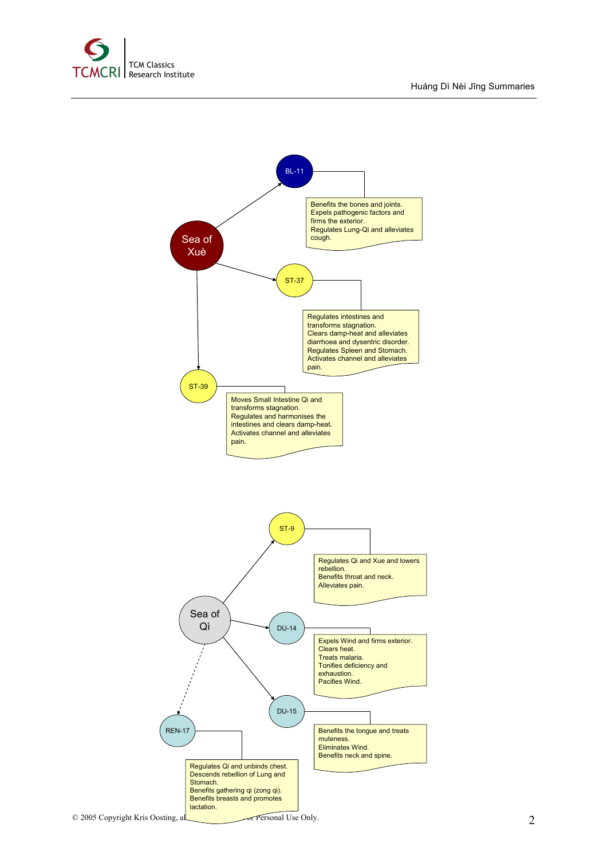

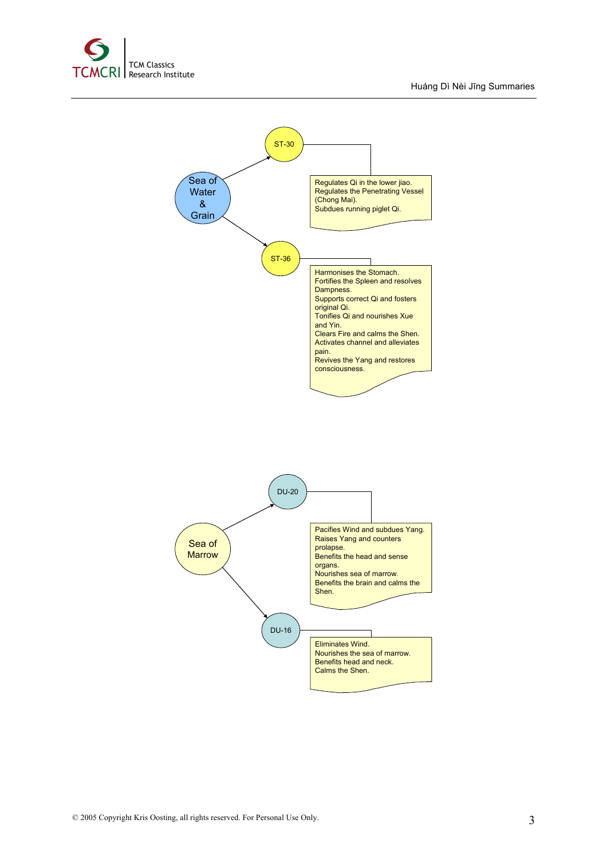



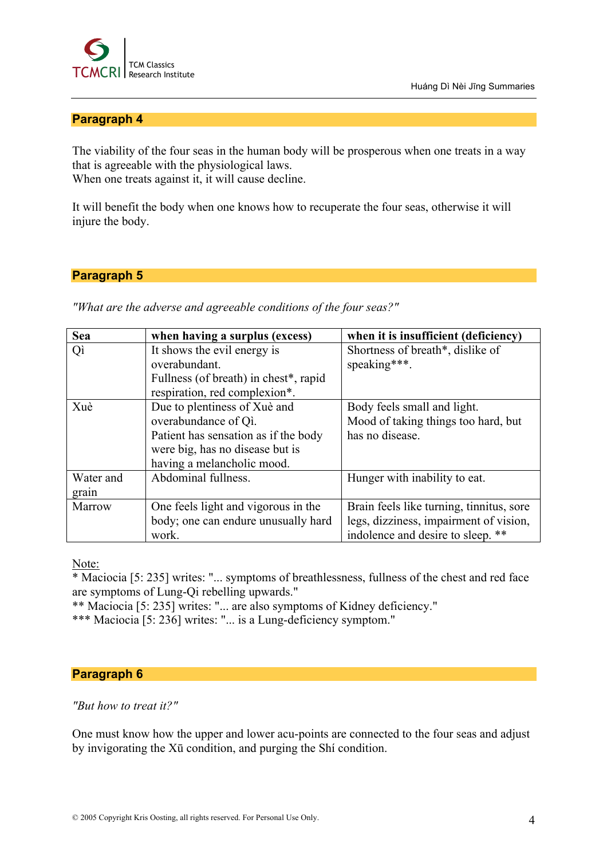

## **Paragraph 4**

The viability of the four seas in the human body will be prosperous when one treats in a way that is agreeable with the physiological laws. When one treats against it, it will cause decline.

It will benefit the body when one knows how to recuperate the four seas, otherwise it will injure the body.

## **Paragraph 5**

*"What are the adverse and agreeable conditions of the four seas?"*

| <b>Sea</b> | when having a surplus (excess)        | when it is insufficient (deficiency)     |
|------------|---------------------------------------|------------------------------------------|
| Qì         | It shows the evil energy is           | Shortness of breath*, dislike of         |
|            | overabundant.                         | speaking***.                             |
|            | Fullness (of breath) in chest*, rapid |                                          |
|            | respiration, red complexion*.         |                                          |
| Xuè        | Due to plentiness of Xuè and          | Body feels small and light.              |
|            | overabundance of Qi.                  | Mood of taking things too hard, but      |
|            | Patient has sensation as if the body  | has no disease.                          |
|            | were big, has no disease but is       |                                          |
|            | having a melancholic mood.            |                                          |
| Water and  | Abdominal fullness.                   | Hunger with inability to eat.            |
| grain      |                                       |                                          |
| Marrow     | One feels light and vigorous in the   | Brain feels like turning, tinnitus, sore |
|            | body; one can endure unusually hard   | legs, dizziness, impairment of vision,   |
|            | work.                                 | indolence and desire to sleep. **        |

Note:

\* Maciocia [5: 235] writes: "... symptoms of breathlessness, fullness of the chest and red face are symptoms of Lung-Qi rebelling upwards."

\*\* Maciocia [5: 235] writes: "... are also symptoms of Kidney deficiency."

\*\*\* Maciocia [5: 236] writes: "... is a Lung-deficiency symptom."

## **Paragraph 6**

*"But how to treat it?"*

One must know how the upper and lower acu-points are connected to the four seas and adjust by invigorating the Xū condition, and purging the Shí condition.